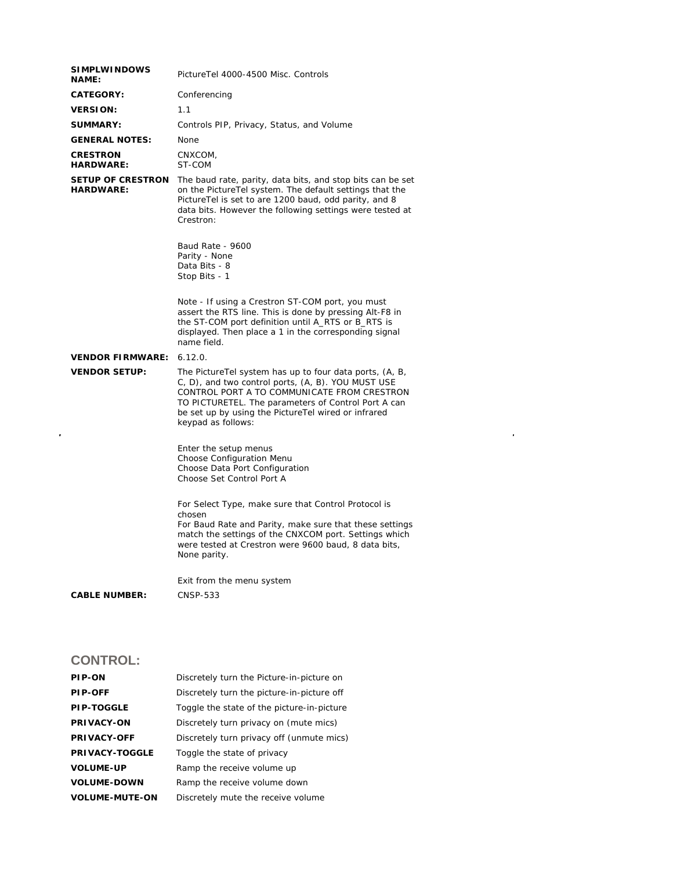| <b>SIMPLWINDOWS</b><br><b>NAME:</b>          | PictureTel 4000-4500 Misc. Controls                                                                                                                                                                                                                                                               |
|----------------------------------------------|---------------------------------------------------------------------------------------------------------------------------------------------------------------------------------------------------------------------------------------------------------------------------------------------------|
| <b>CATEGORY:</b>                             | Conferencing                                                                                                                                                                                                                                                                                      |
| <b>VERSION:</b>                              | 1.1                                                                                                                                                                                                                                                                                               |
| <b>SUMMARY:</b>                              | Controls PIP, Privacy, Status, and Volume                                                                                                                                                                                                                                                         |
| <b>GENERAL NOTES:</b>                        | None                                                                                                                                                                                                                                                                                              |
| <b>CRESTRON</b><br><b>HARDWARE:</b>          | CNXCOM,<br>ST-COM                                                                                                                                                                                                                                                                                 |
| <b>SETUP OF CRESTRON</b><br><b>HARDWARE:</b> | The baud rate, parity, data bits, and stop bits can be set<br>on the PictureTel system. The default settings that the<br>PictureTel is set to are 1200 baud, odd parity, and 8<br>data bits. However the following settings were tested at<br>Crestron:                                           |
|                                              | Baud Rate - 9600<br>Parity - None<br>Data Bits - 8<br>Stop Bits - 1                                                                                                                                                                                                                               |
|                                              | Note - If using a Crestron ST-COM port, you must<br>assert the RTS line. This is done by pressing Alt-F8 in<br>the ST-COM port definition until A_RTS or B_RTS is<br>displayed. Then place a 1 in the corresponding signal<br>name field.                                                         |
| <b>VENDOR FIRMWARE:</b>                      | 6.12.0.                                                                                                                                                                                                                                                                                           |
| <b>VENDOR SETUP:</b>                         | The Picture Tel system has up to four data ports, (A, B,<br>C, D), and two control ports, (A, B). YOU MUST USE<br>CONTROL PORT A TO COMMUNICATE FROM CRESTRON<br>TO PICTURETEL. The parameters of Control Port A can<br>be set up by using the PictureTel wired or infrared<br>keypad as follows: |
|                                              | Enter the setup menus<br>Choose Configuration Menu<br>Choose Data Port Configuration<br>Choose Set Control Port A                                                                                                                                                                                 |
|                                              | For Select Type, make sure that Control Protocol is<br>chosen<br>For Baud Rate and Parity, make sure that these settings<br>match the settings of the CNXCOM port. Settings which<br>were tested at Crestron were 9600 baud, 8 data bits,<br>None parity.                                         |
|                                              | Exit from the menu system                                                                                                                                                                                                                                                                         |
| <b>CABLE NUMBER:</b>                         | <b>CNSP-533</b>                                                                                                                                                                                                                                                                                   |
|                                              |                                                                                                                                                                                                                                                                                                   |
| <b>CONTROL:</b>                              |                                                                                                                                                                                                                                                                                                   |

 $\mathcal{L}(\mathcal{A})$  .

| <b>PIP-ON</b>         | Discretely turn the Picture-in-picture on  |
|-----------------------|--------------------------------------------|
| <b>PIP-OFF</b>        | Discretely turn the picture-in-picture off |
| <b>PIP-TOGGLE</b>     | Toggle the state of the picture-in-picture |
| <b>PRIVACY-ON</b>     | Discretely turn privacy on (mute mics)     |
| <b>PRIVACY-OFF</b>    | Discretely turn privacy off (unmute mics)  |
| <b>PRIVACY-TOGGLE</b> | Toggle the state of privacy                |
| <b>VOLUME-UP</b>      | Ramp the receive volume up                 |
| <b>VOLUME-DOWN</b>    | Ramp the receive volume down               |
| <b>VOLUME-MUTE-ON</b> | Discretely mute the receive volume         |
|                       |                                            |

 $\hat{\mathcal{A}}$